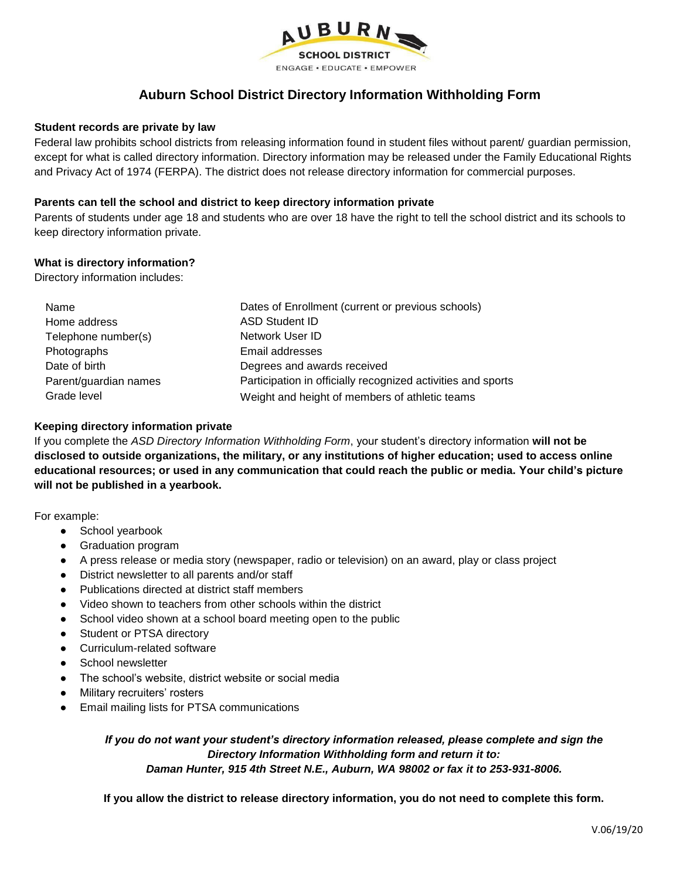

# **Auburn School District Directory Information Withholding Form**

### **Student records are private by law**

Federal law prohibits school districts from releasing information found in student files without parent/ guardian permission, except for what is called directory information. Directory information may be released under the Family Educational Rights and Privacy Act of 1974 (FERPA). The district does not release directory information for commercial purposes.

### **Parents can tell the school and district to keep directory information private**

Parents of students under age 18 and students who are over 18 have the right to tell the school district and its schools to keep directory information private.

### **What is directory information?**

Directory information includes:

| Name                  | Dates of Enrollment (current or previous schools)            |
|-----------------------|--------------------------------------------------------------|
| Home address          | <b>ASD Student ID</b>                                        |
| Telephone number(s)   | Network User ID                                              |
| Photographs           | Email addresses                                              |
| Date of birth         | Degrees and awards received                                  |
| Parent/guardian names | Participation in officially recognized activities and sports |
| Grade level           | Weight and height of members of athletic teams               |

### **Keeping directory information private**

If you complete the *ASD Directory Information Withholding Form*, your student's directory information **will not be disclosed to outside organizations, the military, or any institutions of higher education; used to access online educational resources; or used in any communication that could reach the public or media. Your child's picture will not be published in a yearbook.**

For example:

- School yearbook
- Graduation program
- A press release or media story (newspaper, radio or television) on an award, play or class project
- District newsletter to all parents and/or staff
- Publications directed at district staff members
- Video shown to teachers from other schools within the district
- School video shown at a school board meeting open to the public
- Student or PTSA directory
- Curriculum-related software
- School newsletter
- The school's website, district website or social media
- **Military recruiters' rosters**
- Email mailing lists for PTSA communications

*If you do not want your student's directory information released, please complete and sign the Directory Information Withholding form and return it to: Daman Hunter, 915 4th Street N.E., Auburn, WA 98002 or fax it to 253-931-8006.*

**If you allow the district to release directory information, you do not need to complete this form.**